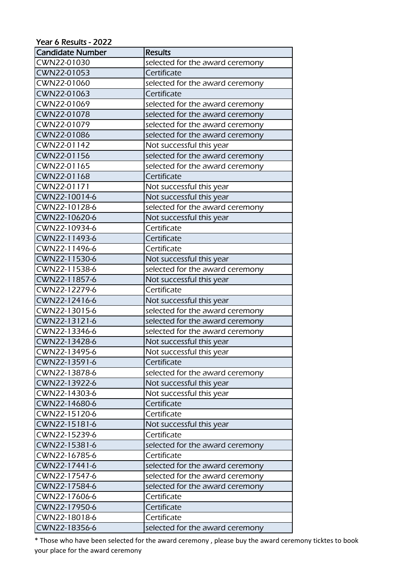## Year 6 Results - 2022

| <b>Candidate Number</b> | <b>Results</b>                  |
|-------------------------|---------------------------------|
| CWN22-01030             | selected for the award ceremony |
| CWN22-01053             | Certificate                     |
| CWN22-01060             | selected for the award ceremony |
| CWN22-01063             | Certificate                     |
| CWN22-01069             | selected for the award ceremony |
| CWN22-01078             | selected for the award ceremony |
| CWN22-01079             | selected for the award ceremony |
| CWN22-01086             | selected for the award ceremony |
| CWN22-01142             | Not successful this year        |
| CWN22-01156             | selected for the award ceremony |
| CWN22-01165             | selected for the award ceremony |
| CWN22-01168             | Certificate                     |
| CWN22-01171             | Not successful this year        |
| CWN22-10014-6           | Not successful this year        |
| CWN22-10128-6           | selected for the award ceremony |
| CWN22-10620-6           | Not successful this year        |
| CWN22-10934-6           | Certificate                     |
| CWN22-11493-6           | Certificate                     |
| CWN22-11496-6           | Certificate                     |
| CWN22-11530-6           | Not successful this year        |
| CWN22-11538-6           | selected for the award ceremony |
| CWN22-11857-6           | Not successful this year        |
| CWN22-12279-6           | Certificate                     |
| CWN22-12416-6           | Not successful this year        |
| CWN22-13015-6           | selected for the award ceremony |
| CWN22-13121-6           | selected for the award ceremony |
| CWN22-13346-6           | selected for the award ceremony |
| CWN22-13428-6           | Not successful this year        |
| CWN22-13495-6           | Not successful this year        |
| CWN22-13591-6           | Certificate                     |
| CWN22-13878-6           | selected for the award ceremony |
| CWN22-13922-6           | Not successful this year        |
| CWN22-14303-6           | Not successful this year        |
| CWN22-14680-6           | Certificate                     |
| CWN22-15120-6           | Certificate                     |
| CWN22-15181-6           | Not successful this year        |
| CWN22-15239-6           | Certificate                     |
| CWN22-15381-6           | selected for the award ceremony |
| CWN22-16785-6           | Certificate                     |
| CWN22-17441-6           | selected for the award ceremony |
| CWN22-17547-6           | selected for the award ceremony |
| CWN22-17584-6           | selected for the award ceremony |
| CWN22-17606-6           | Certificate                     |
| CWN22-17950-6           | Certificate                     |
| CWN22-18018-6           | Certificate                     |
| CWN22-18356-6           | selected for the award ceremony |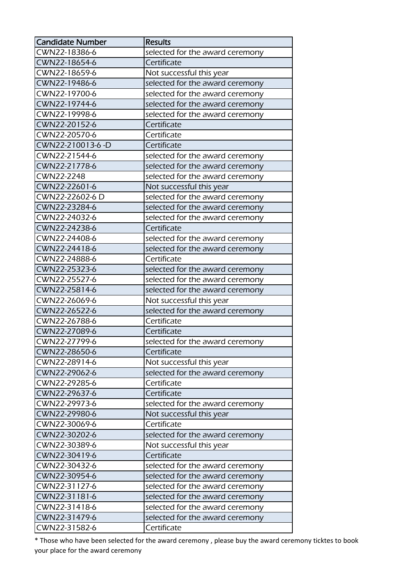| <b>Candidate Number</b> | <b>Results</b>                  |
|-------------------------|---------------------------------|
| CWN22-18386-6           | selected for the award ceremony |
| CWN22-18654-6           | Certificate                     |
| CWN22-18659-6           | Not successful this year        |
| CWN22-19486-6           | selected for the award ceremony |
| CWN22-19700-6           | selected for the award ceremony |
| CWN22-19744-6           | selected for the award ceremony |
| CWN22-19998-6           | selected for the award ceremony |
| CWN22-20152-6           | Certificate                     |
| CWN22-20570-6           | Certificate                     |
| CWN22-210013-6-D        | Certificate                     |
| CWN22-21544-6           | selected for the award ceremony |
| CWN22-21778-6           | selected for the award ceremony |
| CWN22-2248              | selected for the award ceremony |
| CWN22-22601-6           | Not successful this year        |
| CWN22-22602-6 D         | selected for the award ceremony |
| CWN22-23284-6           | selected for the award ceremony |
| CWN22-24032-6           | selected for the award ceremony |
| CWN22-24238-6           | Certificate                     |
| CWN22-24408-6           | selected for the award ceremony |
| CWN22-24418-6           | selected for the award ceremony |
| CWN22-24888-6           | Certificate                     |
| CWN22-25323-6           | selected for the award ceremony |
| CWN22-25527-6           | selected for the award ceremony |
| CWN22-25814-6           | selected for the award ceremony |
| CWN22-26069-6           | Not successful this year        |
| CWN22-26522-6           | selected for the award ceremony |
| CWN22-26788-6           | Certificate                     |
| CWN22-27089-6           | Certificate                     |
| CWN22-27799-6           | selected for the award ceremony |
| CWN22-28650-6           | Certificate                     |
| CWN22-28914-6           | Not successful this year        |
| CWN22-29062-6           | selected for the award ceremony |
| CWN22-29285-6           | Certificate                     |
| CWN22-29637-6           | Certificate                     |
| CWN22-29973-6           | selected for the award ceremony |
| CWN22-29980-6           | Not successful this year        |
| CWN22-30069-6           | Certificate                     |
| CWN22-30202-6           | selected for the award ceremony |
| CWN22-30389-6           | Not successful this year        |
| CWN22-30419-6           | Certificate                     |
| CWN22-30432-6           | selected for the award ceremony |
| CWN22-30954-6           | selected for the award ceremony |
| CWN22-31127-6           | selected for the award ceremony |
| CWN22-31181-6           | selected for the award ceremony |
| CWN22-31418-6           | selected for the award ceremony |
| CWN22-31479-6           | selected for the award ceremony |
| CWN22-31582-6           | Certificate                     |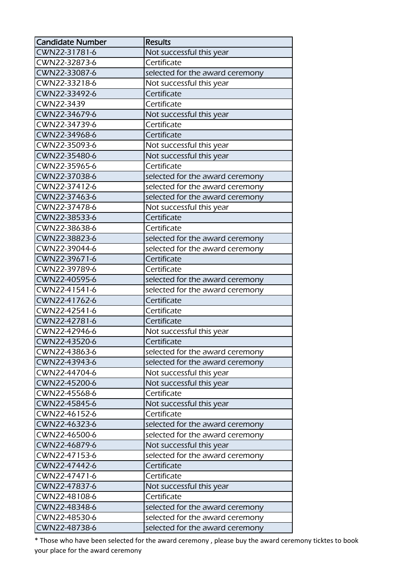| <b>Candidate Number</b> | <b>Results</b>                  |
|-------------------------|---------------------------------|
| CWN22-31781-6           | Not successful this year        |
| CWN22-32873-6           | Certificate                     |
| CWN22-33087-6           | selected for the award ceremony |
| CWN22-33218-6           | Not successful this year        |
| CWN22-33492-6           | Certificate                     |
| CWN22-3439              | Certificate                     |
| CWN22-34679-6           | Not successful this year        |
| CWN22-34739-6           | Certificate                     |
| CWN22-34968-6           | Certificate                     |
| CWN22-35093-6           | Not successful this year        |
| CWN22-35480-6           | Not successful this year        |
| CWN22-35965-6           | Certificate                     |
| CWN22-37038-6           | selected for the award ceremony |
| CWN22-37412-6           | selected for the award ceremony |
| CWN22-37463-6           | selected for the award ceremony |
| CWN22-37478-6           | Not successful this year        |
| CWN22-38533-6           | Certificate                     |
| CWN22-38638-6           | Certificate                     |
| CWN22-38823-6           | selected for the award ceremony |
| CWN22-39044-6           | selected for the award ceremony |
| CWN22-39671-6           | Certificate                     |
| CWN22-39789-6           | Certificate                     |
| CWN22-40595-6           | selected for the award ceremony |
| CWN22-41541-6           | selected for the award ceremony |
| CWN22-41762-6           | Certificate                     |
| CWN22-42541-6           | Certificate                     |
| CWN22-42781-6           | Certificate                     |
| CWN22-42946-6           | Not successful this year        |
| CWN22-43520-6           | Certificate                     |
| CWN22-43863-6           | selected for the award ceremony |
| CWN22-43943-6           | selected for the award ceremony |
| CWN22-44704-6           | Not successful this year        |
| CWN22-45200-6           | Not successful this year        |
| CWN22-45568-6           | Certificate                     |
| CWN22-45845-6           | Not successful this year        |
| CWN22-46152-6           | Certificate                     |
| CWN22-46323-6           | selected for the award ceremony |
| CWN22-46500-6           | selected for the award ceremony |
| CWN22-46879-6           | Not successful this year        |
| CWN22-47153-6           | selected for the award ceremony |
| CWN22-47442-6           | Certificate                     |
| CWN22-47471-6           | Certificate                     |
| CWN22-47837-6           | Not successful this year        |
| CWN22-48108-6           | Certificate                     |
| CWN22-48348-6           | selected for the award ceremony |
| CWN22-48530-6           | selected for the award ceremony |
| CWN22-48738-6           | selected for the award ceremony |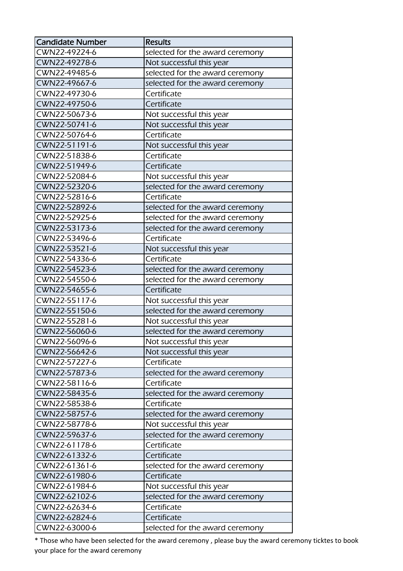| <b>Candidate Number</b> | <b>Results</b>                  |
|-------------------------|---------------------------------|
| CWN22-49224-6           | selected for the award ceremony |
| CWN22-49278-6           | Not successful this year        |
| CWN22-49485-6           | selected for the award ceremony |
| CWN22-49667-6           | selected for the award ceremony |
| CWN22-49730-6           | Certificate                     |
| CWN22-49750-6           | Certificate                     |
| CWN22-50673-6           | Not successful this year        |
| CWN22-50741-6           | Not successful this year        |
| CWN22-50764-6           | Certificate                     |
| CWN22-51191-6           | Not successful this year        |
| CWN22-51838-6           | Certificate                     |
| CWN22-51949-6           | Certificate                     |
| CWN22-52084-6           | Not successful this year        |
| CWN22-52320-6           | selected for the award ceremony |
| CWN22-52816-6           | Certificate                     |
| CWN22-52892-6           | selected for the award ceremony |
| CWN22-52925-6           | selected for the award ceremony |
| CWN22-53173-6           | selected for the award ceremony |
| CWN22-53496-6           | Certificate                     |
| CWN22-53521-6           | Not successful this year        |
| CWN22-54336-6           | Certificate                     |
| CWN22-54523-6           | selected for the award ceremony |
| CWN22-54550-6           | selected for the award ceremony |
| CWN22-54655-6           | Certificate                     |
| CWN22-55117-6           | Not successful this year        |
| CWN22-55150-6           | selected for the award ceremony |
| CWN22-55281-6           | Not successful this year        |
| CWN22-56060-6           | selected for the award ceremony |
| CWN22-56096-6           | Not successful this year        |
| CWN22-56642-6           | Not successful this year        |
| CWN22-57227-6           | Certificate                     |
| CWN22-57873-6           | selected for the award ceremony |
| CWN22-58116-6           | Certificate                     |
| CWN22-58435-6           | selected for the award ceremony |
| CWN22-58538-6           | Certificate                     |
| CWN22-58757-6           | selected for the award ceremony |
| CWN22-58778-6           | Not successful this year        |
| CWN22-59637-6           | selected for the award ceremony |
| CWN22-61178-6           | Certificate                     |
| CWN22-61332-6           | Certificate                     |
| CWN22-61361-6           | selected for the award ceremony |
| CWN22-61980-6           | Certificate                     |
| CWN22-61984-6           | Not successful this year        |
| CWN22-62102-6           | selected for the award ceremony |
| CWN22-62634-6           | Certificate                     |
| CWN22-62824-6           | Certificate                     |
| CWN22-63000-6           | selected for the award ceremony |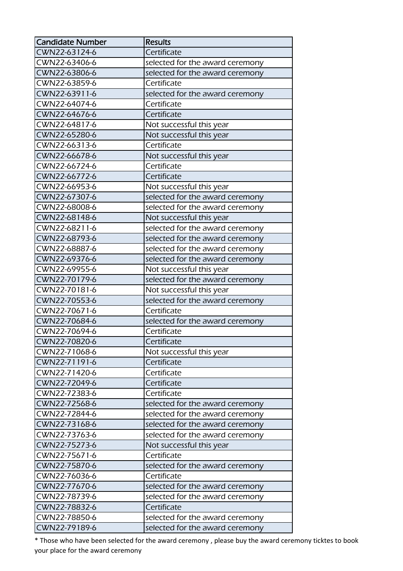| <b>Candidate Number</b> | <b>Results</b>                  |
|-------------------------|---------------------------------|
| CWN22-63124-6           | Certificate                     |
| CWN22-63406-6           | selected for the award ceremony |
| CWN22-63806-6           | selected for the award ceremony |
| CWN22-63859-6           | Certificate                     |
| CWN22-63911-6           | selected for the award ceremony |
| CWN22-64074-6           | Certificate                     |
| CWN22-64676-6           | Certificate                     |
| CWN22-64817-6           | Not successful this year        |
| CWN22-65280-6           | Not successful this year        |
| CWN22-66313-6           | Certificate                     |
| CWN22-66678-6           | Not successful this year        |
| CWN22-66724-6           | Certificate                     |
| CWN22-66772-6           | Certificate                     |
| CWN22-66953-6           | Not successful this year        |
| CWN22-67307-6           | selected for the award ceremony |
| CWN22-68008-6           | selected for the award ceremony |
| CWN22-68148-6           | Not successful this year        |
| CWN22-68211-6           | selected for the award ceremony |
| CWN22-68793-6           | selected for the award ceremony |
| CWN22-68887-6           | selected for the award ceremony |
| CWN22-69376-6           | selected for the award ceremony |
| CWN22-69955-6           | Not successful this year        |
| CWN22-70179-6           | selected for the award ceremony |
| CWN22-70181-6           | Not successful this year        |
| CWN22-70553-6           | selected for the award ceremony |
| CWN22-70671-6           | Certificate                     |
| CWN22-70684-6           | selected for the award ceremony |
| CWN22-70694-6           | Certificate                     |
| CWN22-70820-6           | Certificate                     |
| CWN22-71068-6           | Not successful this year        |
| CWN22-71191-6           | Certificate                     |
| CWN22-71420-6           | Certificate                     |
| CWN22-72049-6           | Certificate                     |
| CWN22-72383-6           | Certificate                     |
| CWN22-72568-6           | selected for the award ceremony |
| CWN22-72844-6           | selected for the award ceremony |
| CWN22-73168-6           | selected for the award ceremony |
| CWN22-73763-6           | selected for the award ceremony |
| CWN22-75273-6           | Not successful this year        |
| CWN22-75671-6           | Certificate                     |
| CWN22-75870-6           | selected for the award ceremony |
| CWN22-76036-6           | Certificate                     |
| CWN22-77670-6           | selected for the award ceremony |
| CWN22-78739-6           | selected for the award ceremony |
| CWN22-78832-6           | Certificate                     |
| CWN22-78850-6           | selected for the award ceremony |
| CWN22-79189-6           | selected for the award ceremony |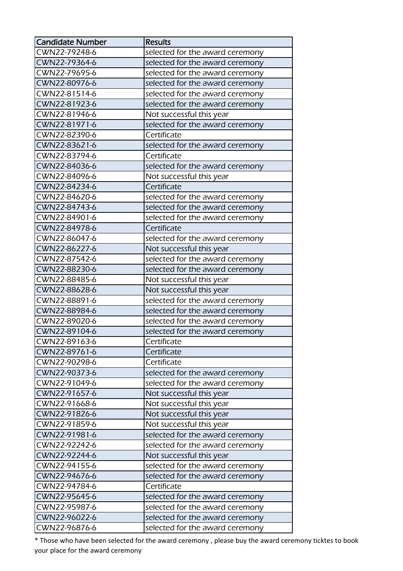| <b>Candidate Number</b> | <b>Results</b>                  |
|-------------------------|---------------------------------|
| CWN22-79248-6           | selected for the award ceremony |
| CWN22-79364-6           | selected for the award ceremony |
| CWN22-79695-6           | selected for the award ceremony |
| CWN22-80976-6           | selected for the award ceremony |
| CWN22-81514-6           | selected for the award ceremony |
| CWN22-81923-6           | selected for the award ceremony |
| CWN22-81946-6           | Not successful this year        |
| CWN22-81971-6           | selected for the award ceremony |
| CWN22-82390-6           | Certificate                     |
| CWN22-83621-6           | selected for the award ceremony |
| CWN22-83794-6           | Certificate                     |
| CWN22-84036-6           | selected for the award ceremony |
| CWN22-84096-6           | Not successful this year        |
| CWN22-84234-6           | Certificate                     |
| CWN22-84620-6           | selected for the award ceremony |
| CWN22-84743-6           | selected for the award ceremony |
| CWN22-84901-6           | selected for the award ceremony |
| CWN22-84978-6           | Certificate                     |
| CWN22-86047-6           | selected for the award ceremony |
| CWN22-86227-6           | Not successful this year        |
| CWN22-87542-6           | selected for the award ceremony |
| CWN22-88230-6           | selected for the award ceremony |
| CWN22-88485-6           | Not successful this year        |
| CWN22-88628-6           | Not successful this year        |
| CWN22-88891-6           | selected for the award ceremony |
| CWN22-88984-6           | selected for the award ceremony |
| CWN22-89020-6           | selected for the award ceremony |
| CWN22-89104-6           | selected for the award ceremony |
| CWN22-89163-6           | Certificate                     |
| CWN22-89761-6           | Certificate                     |
| CWN22-90298-6           | Certificate                     |
| CWN22-90373-6           | selected for the award ceremony |
| CWN22-91049-6           | selected for the award ceremony |
| CWN22-91657-6           | Not successful this year        |
| CWN22-91668-6           | Not successful this year        |
| CWN22-91826-6           | Not successful this year        |
| CWN22-91859-6           | Not successful this year        |
| CWN22-91981-6           | selected for the award ceremony |
| CWN22-92242-6           | selected for the award ceremony |
| CWN22-92244-6           | Not successful this year        |
| CWN22-94155-6           | selected for the award ceremony |
| CWN22-94676-6           | selected for the award ceremony |
| CWN22-94784-6           | Certificate                     |
| CWN22-95645-6           | selected for the award ceremony |
| CWN22-95987-6           | selected for the award ceremony |
| CWN22-96022-6           | selected for the award ceremony |
| CWN22-96876-6           | selected for the award ceremony |